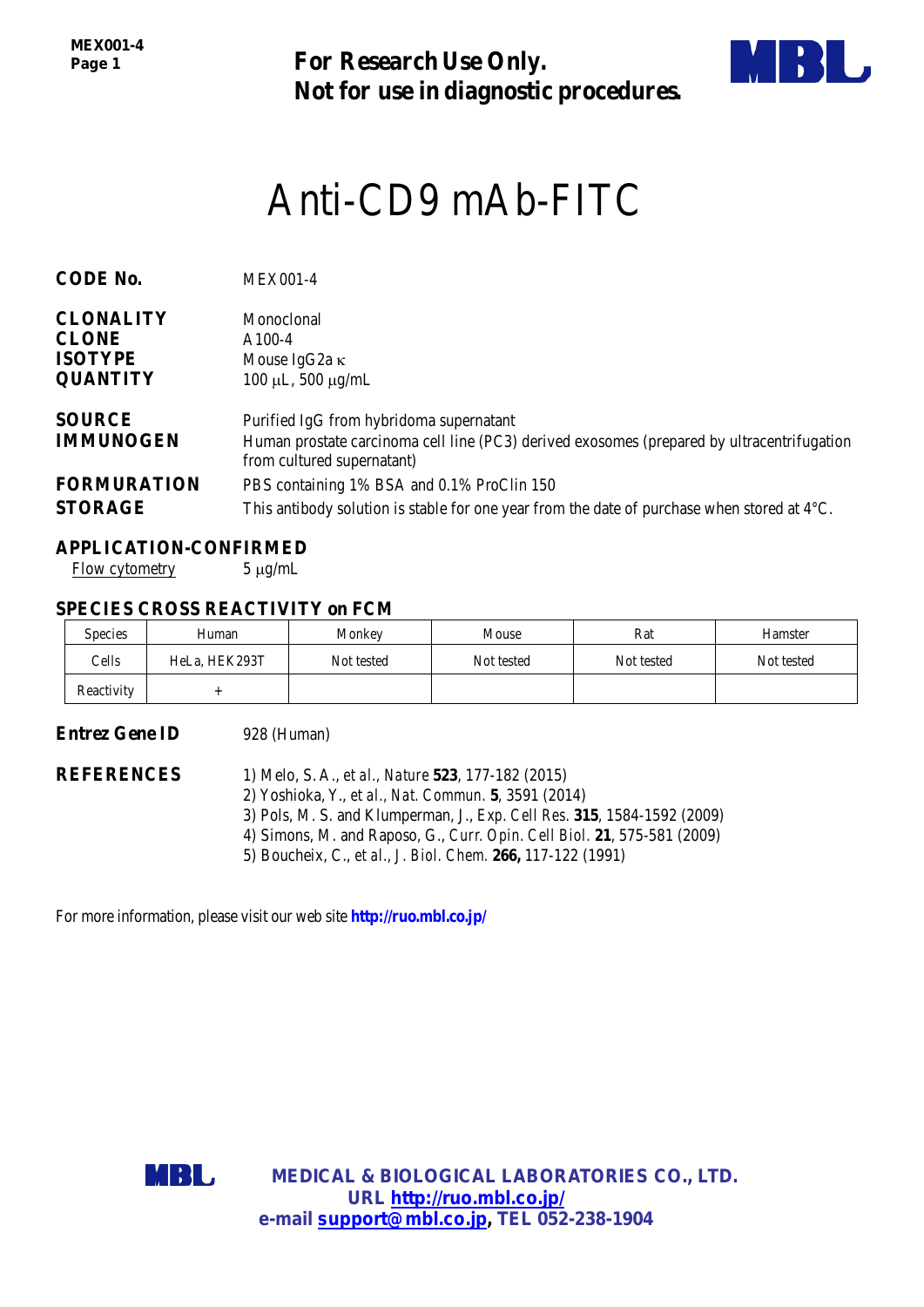*MEX001-4 Page 1*

**For Research Use Only. Not for use in diagnostic procedures.**



# Anti-CD9 mAb-FITC

| <b>CODE No.</b>    | <b>MEX001-4</b>                                                                                                          |
|--------------------|--------------------------------------------------------------------------------------------------------------------------|
| <b>CLONALITY</b>   | Monoclonal                                                                                                               |
| <b>CLONE</b>       | $A100-4$                                                                                                                 |
| <b>ISOTYPE</b>     | Mouse IgG2a $\kappa$                                                                                                     |
| <b>QUANTITY</b>    | $100 \mu L$ , 500 $\mu$ g/mL                                                                                             |
| <b>SOURCE</b>      | Purified IgG from hybridoma supernatant                                                                                  |
| <b>IMMUNOGEN</b>   | Human prostate carcinoma cell line (PC3) derived exosomes (prepared by ultracentrifugation<br>from cultured supernatant) |
| <b>FORMURATION</b> | PBS containing 1% BSA and 0.1% ProClin 150                                                                               |
| <b>STORAGE</b>     | This antibody solution is stable for one year from the date of purchase when stored at $4^{\circ}C$ .                    |

## **APPLICATION-CONFIRMED**

Flow cytometry 5 µg/mL

## **SPECIES CROSS REACTIVITY on FCM**

| <b>Species</b> | Human         | Monkey     | Mouse      | Rat        | Hamster    |
|----------------|---------------|------------|------------|------------|------------|
| Cells          | HeLa, HEK293T | Not tested | Not tested | Not tested | Not tested |
| Reactivity     |               |            |            |            |            |

## **Entrez Gene ID** 928 (Human)

**REFERENCES** 1) Melo, S. A., *et al., Nature* **523**, 177-182 (2015) 2) Yoshioka, Y., *et al., Nat. Commun.* **5**, 3591 (2014) 3) Pols, M. S. and Klumperman, J., *Exp. Cell Res.* **315**, 1584-1592 (2009) 4) Simons, M. and Raposo, G., *Curr. Opin. Cell Biol.* **21**, 575-581 (2009) 5) Boucheix, C., *et al., J. Biol. Chem.* **266,** 117-122 (1991)

For more information, please visit our web site **http://ruo.mbl.co.jp/**



**MEDICAL & BIOLOGICAL LABORATORIES CO., LTD. URL [http://ruo.mbl.co.jp/](https://ruo.mbl.co.jp/je/rip-assay/) e-mail [support@mbl.co.jp,](mailto:support@mbl.co.jp) TEL 052-238-1904**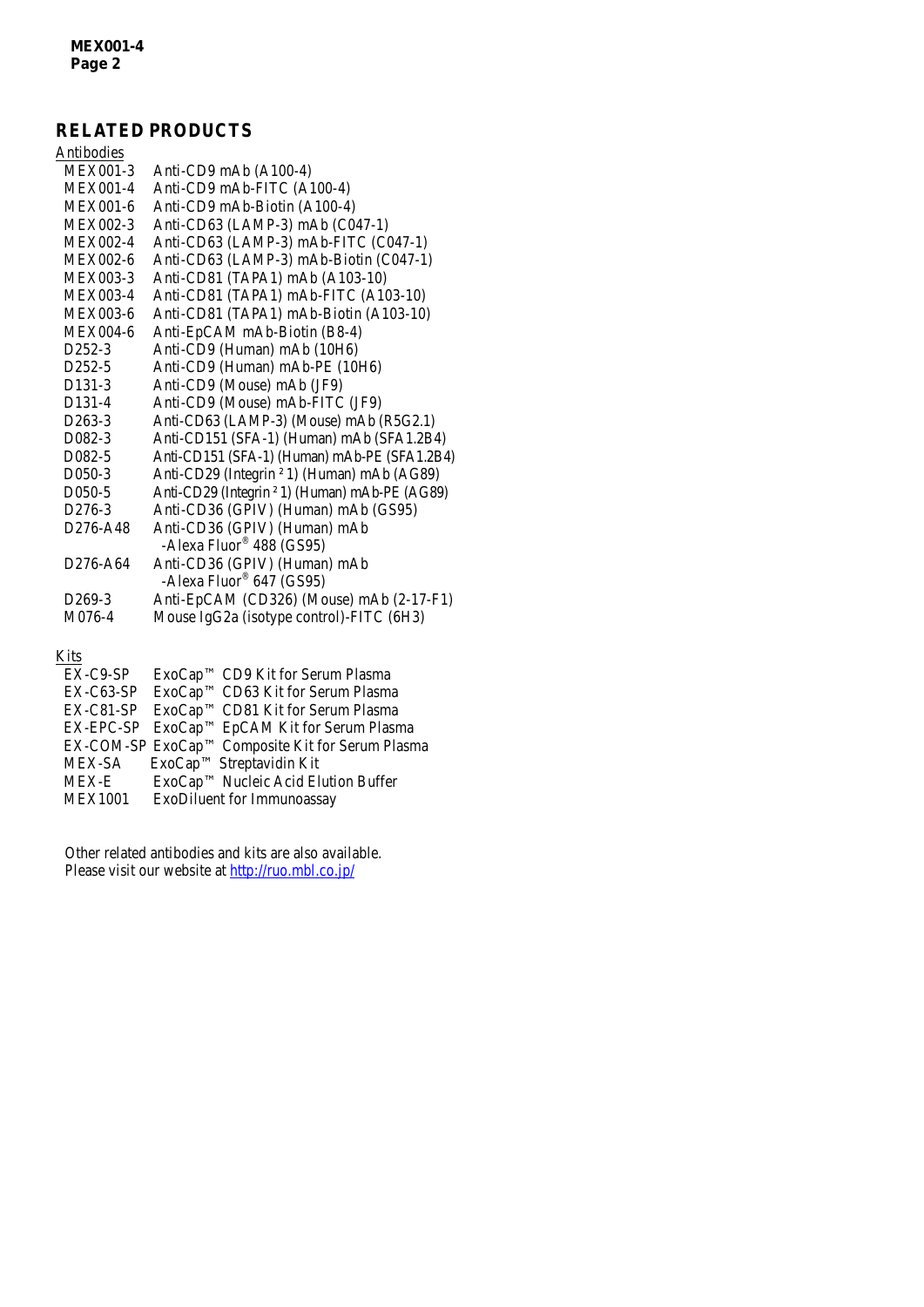# **RELATED PRODUCTS**

| Antibodies                        |                                                                      |
|-----------------------------------|----------------------------------------------------------------------|
| <b>MEX001-3</b>                   | Anti-CD9 mAb (A100-4)                                                |
| <b>MEX001-4</b>                   | Anti-CD9 mAb-FITC (A100-4)                                           |
| <b>MEX001-6</b>                   | Anti-CD9 mAb-Biotin (A100-4)                                         |
| <b>MEX002-3</b>                   | Anti-CD63 (LAMP-3) mAb (C047-1)                                      |
| <b>MEX002-4</b>                   | Anti-CD63 (LAMP-3) mAb-FITC (C047-1)                                 |
| <b>MEX002-6</b>                   | Anti-CD63 (LAMP-3) mAb-Biotin (C047-1)                               |
| <b>MEX003-3</b>                   | Anti-CD81 (TAPA1) mAb (A103-10)                                      |
| <b>MEX003-4</b>                   | Anti-CD81 (TAPA1) mAb-FITC (A103-10)                                 |
| <b>MEX003-6</b>                   | Anti-CD81 (TAPA1) mAb-Biotin (A103-10)                               |
| <b>MEX004-6</b>                   | Anti-EpCAM mAb-Biotin (B8-4)                                         |
| $D252-3$                          | Anti-CD9 (Human) mAb (10H6)                                          |
| D <sub>252</sub> -5               | Anti-CD9 (Human) mAb-PE (10H6)                                       |
| D <sub>131</sub> -3               | Anti-CD9 (Mouse) mAb (JF9)                                           |
| D <sub>131</sub> -4               | Anti-CD9 (Mouse) mAb-FITC (JF9)                                      |
| D <sub>263</sub> -3               | Anti-CD63 (LAMP-3) (Mouse) mAb (R5G2.1)                              |
| D082-3                            | Anti-CD151 (SFA-1) (Human) mAb (SFA1.2B4)                            |
| D <sub>0</sub> 82-5               | Anti-CD151 (SFA-1) (Human) mAb-PE (SFA1.2B4)                         |
| D050-3                            | Anti-CD29 (Integrin <sup>2</sup> 1) (Human) mAb (AG89)               |
| D <sub>050</sub> -5               | Anti-CD29 (Integrin <sup>2</sup> 1) (Human) mAb-PE (AG89)            |
| D <sub>276</sub> -3               | Anti-CD36 (GPIV) (Human) mAb (GS95)                                  |
| D <sub>276</sub> -A <sub>48</sub> | Anti-CD36 (GPIV) (Human) mAb<br>-Alexa Fluor <sup>®</sup> 488 (GS95) |
| D <sub>276</sub> -A <sub>64</sub> | Anti-CD36 (GPIV) (Human) mAb<br>-Alexa Fluor® 647 (GS95)             |
| D <sub>269</sub> -3               | Anti-EpCAM (CD326) (Mouse) mAb (2-17-F1)                             |
| M076-4                            | Mouse IgG2a (isotype control)-FITC (6H3)                             |

#### <u>Kits</u>

| $EX-C9-SP$     | ExoCap™ CD9 Kit for Serum Plasma                 |
|----------------|--------------------------------------------------|
| $EX-C63-SP$    | ExoCap™ CD63 Kit for Serum Plasma                |
| EX-C81-SP      | ExoCap™ CD81 Kit for Serum Plasma                |
|                | EX-EPC-SP ExoCap™ EpCAM Kit for Serum Plasma     |
|                | EX-COM-SP ExoCap™ Composite Kit for Serum Plasma |
| MEX-SA         | $ExoCap^{TM}$ Streptavidin Kit                   |
| <b>MEX-E</b>   | ExoCap™ Nucleic Acid Elution Buffer              |
| <b>MEX1001</b> | ExoDiluent for Immunoassay                       |
|                |                                                  |

Other related antibodies and kits are also available. Please visit our website at<http://ruo.mbl.co.jp/>